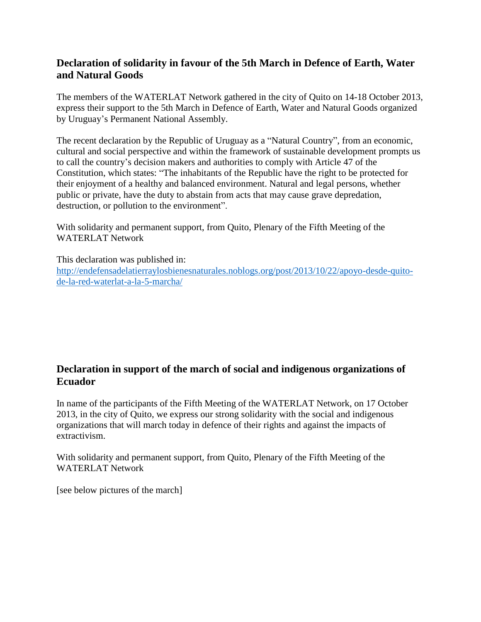## **Declaration of solidarity in favour of the 5th March in Defence of Earth, Water and Natural Goods**

The members of the WATERLAT Network gathered in the city of Quito on 14-18 October 2013, express their support to the 5th March in Defence of Earth, Water and Natural Goods organized by Uruguay's Permanent National Assembly.

The recent declaration by the Republic of Uruguay as a "Natural Country", from an economic, cultural and social perspective and within the framework of sustainable development prompts us to call the country's decision makers and authorities to comply with Article 47 of the Constitution, which states: "The inhabitants of the Republic have the right to be protected for their enjoyment of a healthy and balanced environment. Natural and legal persons, whether public or private, have the duty to abstain from acts that may cause grave depredation, destruction, or pollution to the environment".

With solidarity and permanent support, from Quito, Plenary of the Fifth Meeting of the WATERLAT Network

This declaration was published in: [http://endefensadelatierraylosbienesnaturales.noblogs.org/post/2013/10/22/apoyo-desde-quito](http://endefensadelatierraylosbienesnaturales.noblogs.org/post/2013/10/22/apoyo-desde-quito-de-la-red-waterlat-a-la-5-marcha/)[de-la-red-waterlat-a-la-5-marcha/](http://endefensadelatierraylosbienesnaturales.noblogs.org/post/2013/10/22/apoyo-desde-quito-de-la-red-waterlat-a-la-5-marcha/)

## **Declaration in support of the march of social and indigenous organizations of Ecuador**

In name of the participants of the Fifth Meeting of the WATERLAT Network, on 17 October 2013, in the city of Quito, we express our strong solidarity with the social and indigenous organizations that will march today in defence of their rights and against the impacts of extractivism.

With solidarity and permanent support, from Quito, Plenary of the Fifth Meeting of the WATERLAT Network

[see below pictures of the march]